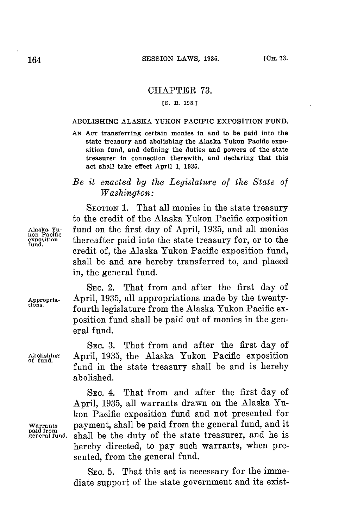### CHAPTER **73.**

#### **[S. B. 198.3**

#### ABOLISHING **ALASKA YUKON** PACIFIC EXPOSITION **FUND.**

**AN Acr** transferring certain monies in and to be paid into the state treasury and abolishing the Alaska Yukon Pacific exposition fund, and defining the duties and powers of the state treasurer in connection therewith, and declaring that this act shall take effect April **1, 1935.**

# *Be it enacted by the Legislature of the State of Washington:*

SECTION 1. That all monies in the state treasury to the credit of the Alaska Yukon Pacific exposition Alaska Yu- **fund on the first day of April, 1935, and all monies**<br>
exposition **thereafter paid into the state treasury for**, or to the **exposition thereafter paid into the state treasury for, or to the** credit of, the Alaska Yukon Pacific exposition fund, shall be and are hereby transferred to, and placed in, the general fund.

SEC. 2. That from and after the first day of **Appropria-** April, **1935,** all appropriations made **by** the twenty- **tions.** fourth legislature from the Alaska Yukon Pacific exposition fund shall be paid out of monies in the general fund.

SEC. **8.** That from and after the first day of **Abolishing** April, **1935,** the Alaska Yukon Pacific exposition **of fund.** fund in the state treasury shall be and is hereby abolished.

> **SEC.** 4. That from and after the first day **of** April, **1935,** all warrants drawn on the Alaska Yukon Pacific exposition fund and not presented for payment, shall be paid from the general fund, and it shall be the duty of the state treasurer, and he is hereby directed, to pay such warrants, when presented, from the general fund.

> **SEc. 5.** That this act is necessary for the immediate support of the state government and its exist-

**Warrants**<br>paid from<br>general fund.